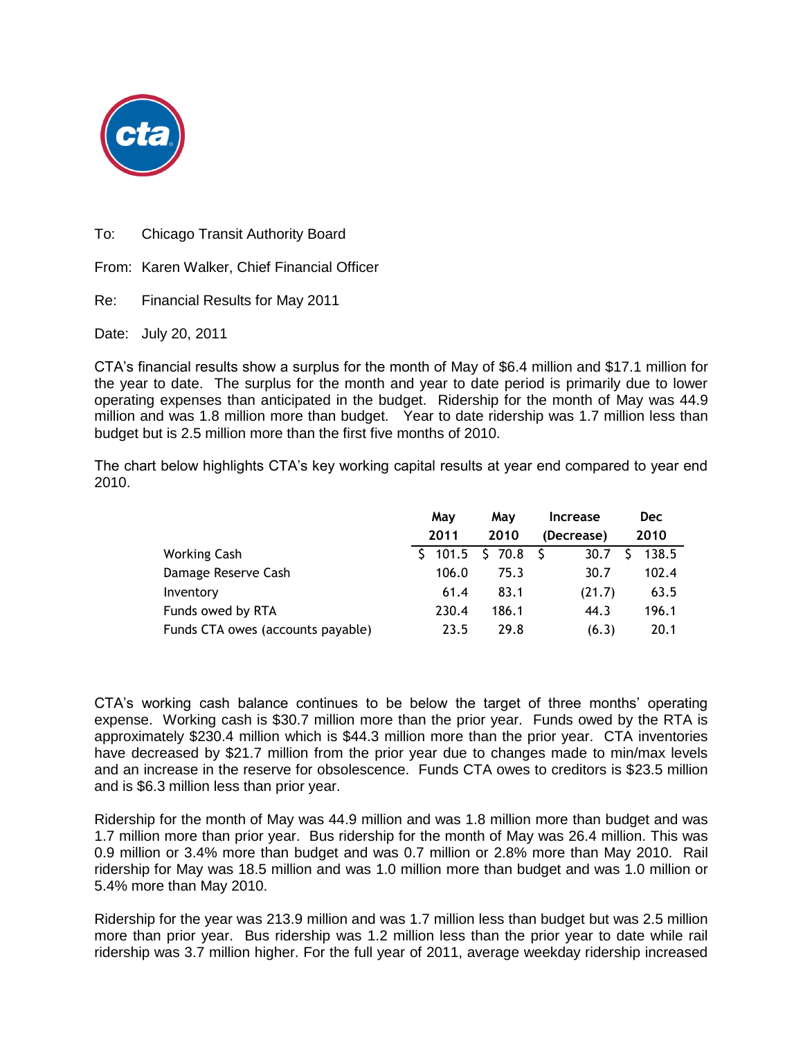

To: Chicago Transit Authority Board

From: Karen Walker, Chief Financial Officer

Re: Financial Results for May 2011

Date: July 20, 2011

CTA's financial results show a surplus for the month of May of \$6.4 million and \$17.1 million for the year to date. The surplus for the month and year to date period is primarily due to lower operating expenses than anticipated in the budget. Ridership for the month of May was 44.9 million and was 1.8 million more than budget. Year to date ridership was 1.7 million less than budget but is 2.5 million more than the first five months of 2010.

The chart below highlights CTA's key working capital results at year end compared to year end 2010.

|                                   | May   | May   | <b>Increase</b> | <b>Dec</b> |
|-----------------------------------|-------|-------|-----------------|------------|
|                                   | 2011  | 2010  | (Decrease)      | 2010       |
| <b>Working Cash</b>               |       |       | 30.7            | 138.5      |
| Damage Reserve Cash               | 106.0 | 75.3  | 30.7            | 102.4      |
| Inventory                         | 61.4  | 83.1  | (21.7)          | 63.5       |
| Funds owed by RTA                 | 230.4 | 186.1 | 44.3            | 196.1      |
| Funds CTA owes (accounts payable) | 23.5  | 29.8  | (6.3)           | 20.1       |

CTA's working cash balance continues to be below the target of three months' operating expense. Working cash is \$30.7 million more than the prior year. Funds owed by the RTA is approximately \$230.4 million which is \$44.3 million more than the prior year. CTA inventories have decreased by \$21.7 million from the prior year due to changes made to min/max levels and an increase in the reserve for obsolescence. Funds CTA owes to creditors is \$23.5 million and is \$6.3 million less than prior year.

Ridership for the month of May was 44.9 million and was 1.8 million more than budget and was 1.7 million more than prior year. Bus ridership for the month of May was 26.4 million. This was 0.9 million or 3.4% more than budget and was 0.7 million or 2.8% more than May 2010. Rail ridership for May was 18.5 million and was 1.0 million more than budget and was 1.0 million or 5.4% more than May 2010.

Ridership for the year was 213.9 million and was 1.7 million less than budget but was 2.5 million more than prior year. Bus ridership was 1.2 million less than the prior year to date while rail ridership was 3.7 million higher. For the full year of 2011, average weekday ridership increased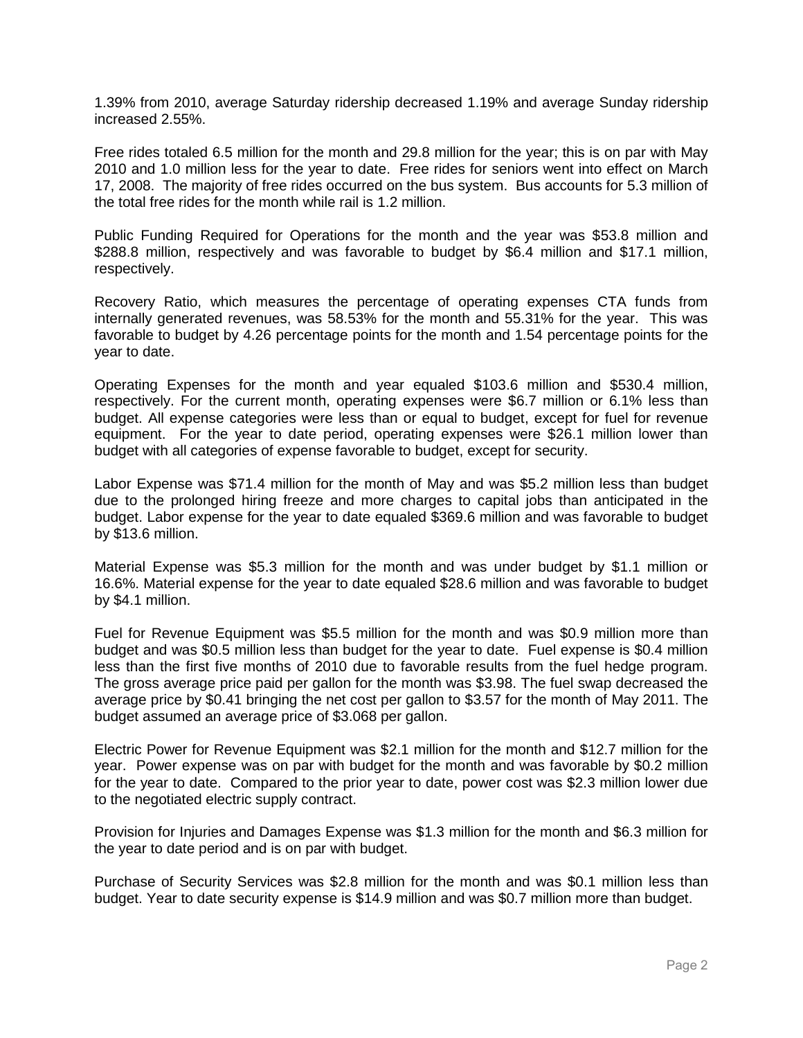1.39% from 2010, average Saturday ridership decreased 1.19% and average Sunday ridership increased 2.55%.

Free rides totaled 6.5 million for the month and 29.8 million for the year; this is on par with May 2010 and 1.0 million less for the year to date. Free rides for seniors went into effect on March 17, 2008. The majority of free rides occurred on the bus system. Bus accounts for 5.3 million of the total free rides for the month while rail is 1.2 million.

Public Funding Required for Operations for the month and the year was \$53.8 million and \$288.8 million, respectively and was favorable to budget by \$6.4 million and \$17.1 million, respectively.

Recovery Ratio, which measures the percentage of operating expenses CTA funds from internally generated revenues, was 58.53% for the month and 55.31% for the year. This was favorable to budget by 4.26 percentage points for the month and 1.54 percentage points for the year to date.

Operating Expenses for the month and year equaled \$103.6 million and \$530.4 million, respectively. For the current month, operating expenses were \$6.7 million or 6.1% less than budget. All expense categories were less than or equal to budget, except for fuel for revenue equipment. For the year to date period, operating expenses were \$26.1 million lower than budget with all categories of expense favorable to budget, except for security.

Labor Expense was \$71.4 million for the month of May and was \$5.2 million less than budget due to the prolonged hiring freeze and more charges to capital jobs than anticipated in the budget. Labor expense for the year to date equaled \$369.6 million and was favorable to budget by \$13.6 million.

Material Expense was \$5.3 million for the month and was under budget by \$1.1 million or 16.6%. Material expense for the year to date equaled \$28.6 million and was favorable to budget by \$4.1 million.

Fuel for Revenue Equipment was \$5.5 million for the month and was \$0.9 million more than budget and was \$0.5 million less than budget for the year to date. Fuel expense is \$0.4 million less than the first five months of 2010 due to favorable results from the fuel hedge program. The gross average price paid per gallon for the month was \$3.98. The fuel swap decreased the average price by \$0.41 bringing the net cost per gallon to \$3.57 for the month of May 2011. The budget assumed an average price of \$3.068 per gallon.

Electric Power for Revenue Equipment was \$2.1 million for the month and \$12.7 million for the year. Power expense was on par with budget for the month and was favorable by \$0.2 million for the year to date. Compared to the prior year to date, power cost was \$2.3 million lower due to the negotiated electric supply contract.

Provision for Injuries and Damages Expense was \$1.3 million for the month and \$6.3 million for the year to date period and is on par with budget.

Purchase of Security Services was \$2.8 million for the month and was \$0.1 million less than budget. Year to date security expense is \$14.9 million and was \$0.7 million more than budget.